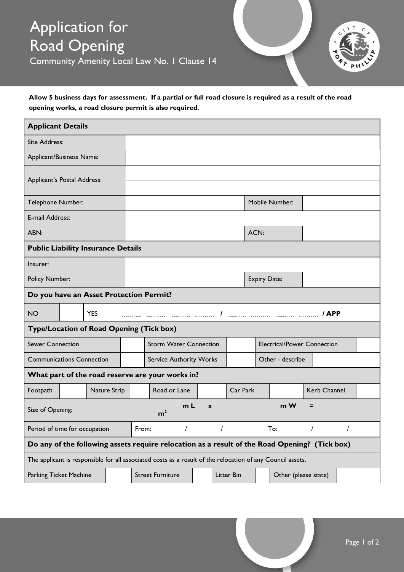# Application for Road Opening

Community Amenity Local Law No. 1 Clause 14



#### **Allow 5 business days for assessment. If a partial or full road closure is required as a result of the road opening works, a road closure permit is also required.**

| <b>Applicant Details</b>                                                                                   |  |              |  |                                                           |                                |            |  |  |                                    |                     |                      |              |  |  |  |
|------------------------------------------------------------------------------------------------------------|--|--------------|--|-----------------------------------------------------------|--------------------------------|------------|--|--|------------------------------------|---------------------|----------------------|--------------|--|--|--|
| Site Address:                                                                                              |  |              |  |                                                           |                                |            |  |  |                                    |                     |                      |              |  |  |  |
| Applicant/Business Name:                                                                                   |  |              |  |                                                           |                                |            |  |  |                                    |                     |                      |              |  |  |  |
| Applicant's Postal Address:                                                                                |  |              |  |                                                           |                                |            |  |  |                                    |                     |                      |              |  |  |  |
| Telephone Number:                                                                                          |  |              |  | Mobile Number:                                            |                                |            |  |  |                                    |                     |                      |              |  |  |  |
| E-mail Address:                                                                                            |  |              |  |                                                           |                                |            |  |  |                                    |                     |                      |              |  |  |  |
| ABN:                                                                                                       |  |              |  |                                                           |                                |            |  |  | ACN:                               |                     |                      |              |  |  |  |
| <b>Public Liability Insurance Details</b>                                                                  |  |              |  |                                                           |                                |            |  |  |                                    |                     |                      |              |  |  |  |
| Insurer:                                                                                                   |  |              |  |                                                           |                                |            |  |  |                                    |                     |                      |              |  |  |  |
| <b>Policy Number:</b>                                                                                      |  |              |  |                                                           |                                |            |  |  |                                    | <b>Expiry Date:</b> |                      |              |  |  |  |
| Do you have an Asset Protection Permit?                                                                    |  |              |  |                                                           |                                |            |  |  |                                    |                     |                      |              |  |  |  |
| <b>NO</b>                                                                                                  |  | <b>YES</b>   |  |                                                           |                                |            |  |  |                                    |                     |                      |              |  |  |  |
| Type/Location of Road Opening (Tick box)                                                                   |  |              |  |                                                           |                                |            |  |  |                                    |                     |                      |              |  |  |  |
| <b>Sewer Connection</b>                                                                                    |  |              |  |                                                           | <b>Storm Water Connection</b>  |            |  |  | <b>Electrical/Power Connection</b> |                     |                      |              |  |  |  |
| <b>Communications Connection</b>                                                                           |  |              |  |                                                           | <b>Service Authority Works</b> |            |  |  |                                    | Other - describe    |                      |              |  |  |  |
| What part of the road reserve are your works in?                                                           |  |              |  |                                                           |                                |            |  |  |                                    |                     |                      |              |  |  |  |
| Footpath                                                                                                   |  | Nature Strip |  |                                                           | Road or Lane                   |            |  |  | Car Park                           |                     |                      | Kerb Channel |  |  |  |
| Size of Opening:                                                                                           |  |              |  | m <sub>L</sub><br>$m$ W<br>$\mathbf{x}$<br>m <sup>2</sup> |                                |            |  |  |                                    |                     |                      |              |  |  |  |
| Period of time for occupation                                                                              |  |              |  | From:                                                     |                                |            |  |  | To:                                |                     |                      |              |  |  |  |
| Do any of the following assets require relocation as a result of the Road Opening? (Tick box)              |  |              |  |                                                           |                                |            |  |  |                                    |                     |                      |              |  |  |  |
| The applicant is responsible for all associated costs as a result of the relocation of any Council assets. |  |              |  |                                                           |                                |            |  |  |                                    |                     |                      |              |  |  |  |
| Parking Ticket Machine                                                                                     |  |              |  |                                                           | <b>Street Furniture</b>        | Litter Bin |  |  |                                    |                     | Other (please state) |              |  |  |  |